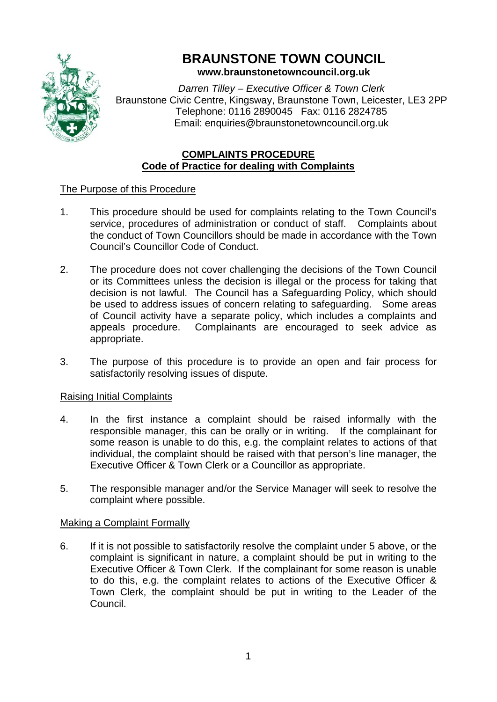

# **BRAUNSTONE TOWN COUNCIL**

**www.braunstonetowncouncil.org.uk**

*Darren Tilley – Executive Officer & Town Clerk* Braunstone Civic Centre, Kingsway, Braunstone Town, Leicester, LE3 2PP Telephone: 0116 2890045 Fax: 0116 2824785 Email: enquiries@braunstonetowncouncil.org.uk

## **COMPLAINTS PROCEDURE Code of Practice for dealing with Complaints**

## The Purpose of this Procedure

- 1. This procedure should be used for complaints relating to the Town Council's service, procedures of administration or conduct of staff. Complaints about the conduct of Town Councillors should be made in accordance with the Town Council's Councillor Code of Conduct.
- 2. The procedure does not cover challenging the decisions of the Town Council or its Committees unless the decision is illegal or the process for taking that decision is not lawful. The Council has a Safeguarding Policy, which should be used to address issues of concern relating to safeguarding. Some areas of Council activity have a separate policy, which includes a complaints and appeals procedure. Complainants are encouraged to seek advice as appropriate.
- 3. The purpose of this procedure is to provide an open and fair process for satisfactorily resolving issues of dispute.

### Raising Initial Complaints

- 4. In the first instance a complaint should be raised informally with the responsible manager, this can be orally or in writing. If the complainant for some reason is unable to do this, e.g. the complaint relates to actions of that individual, the complaint should be raised with that person's line manager, the Executive Officer & Town Clerk or a Councillor as appropriate.
- 5. The responsible manager and/or the Service Manager will seek to resolve the complaint where possible.

### Making a Complaint Formally

6. If it is not possible to satisfactorily resolve the complaint under 5 above, or the complaint is significant in nature, a complaint should be put in writing to the Executive Officer & Town Clerk. If the complainant for some reason is unable to do this, e.g. the complaint relates to actions of the Executive Officer & Town Clerk, the complaint should be put in writing to the Leader of the Council.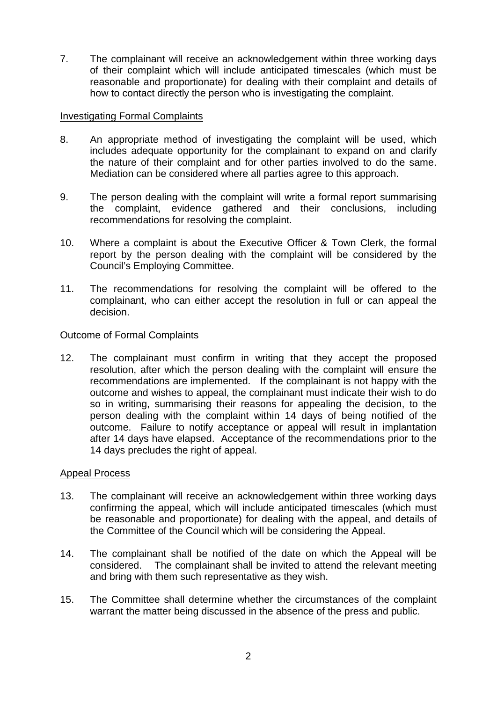7. The complainant will receive an acknowledgement within three working days of their complaint which will include anticipated timescales (which must be reasonable and proportionate) for dealing with their complaint and details of how to contact directly the person who is investigating the complaint.

#### Investigating Formal Complaints

- 8. An appropriate method of investigating the complaint will be used, which includes adequate opportunity for the complainant to expand on and clarify the nature of their complaint and for other parties involved to do the same. Mediation can be considered where all parties agree to this approach.
- 9. The person dealing with the complaint will write a formal report summarising the complaint, evidence gathered and their conclusions, including recommendations for resolving the complaint.
- 10. Where a complaint is about the Executive Officer & Town Clerk, the formal report by the person dealing with the complaint will be considered by the Council's Employing Committee.
- 11. The recommendations for resolving the complaint will be offered to the complainant, who can either accept the resolution in full or can appeal the decision.

#### Outcome of Formal Complaints

12. The complainant must confirm in writing that they accept the proposed resolution, after which the person dealing with the complaint will ensure the recommendations are implemented. If the complainant is not happy with the outcome and wishes to appeal, the complainant must indicate their wish to do so in writing, summarising their reasons for appealing the decision, to the person dealing with the complaint within 14 days of being notified of the outcome. Failure to notify acceptance or appeal will result in implantation after 14 days have elapsed. Acceptance of the recommendations prior to the 14 days precludes the right of appeal.

#### Appeal Process

- 13. The complainant will receive an acknowledgement within three working days confirming the appeal, which will include anticipated timescales (which must be reasonable and proportionate) for dealing with the appeal, and details of the Committee of the Council which will be considering the Appeal.
- 14. The complainant shall be notified of the date on which the Appeal will be considered. The complainant shall be invited to attend the relevant meeting and bring with them such representative as they wish.
- 15. The Committee shall determine whether the circumstances of the complaint warrant the matter being discussed in the absence of the press and public.